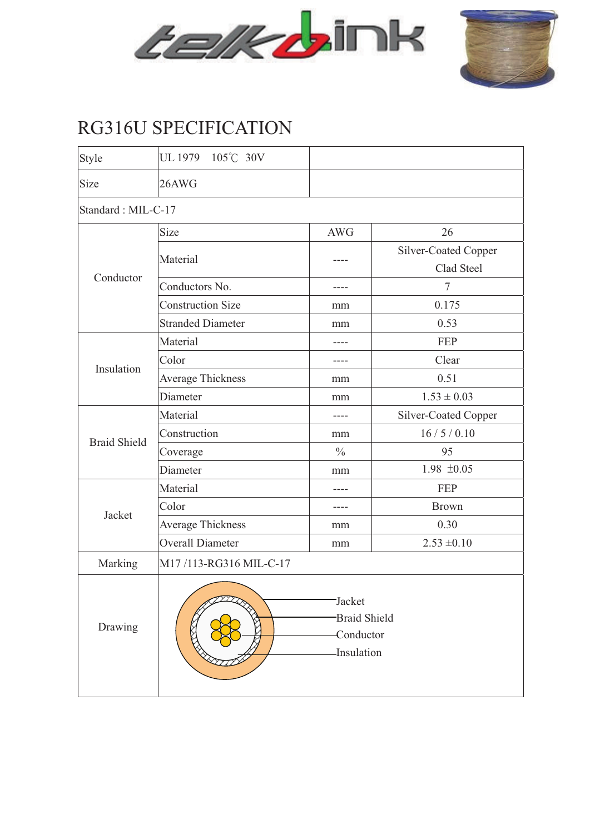



## RG316U SPECIFICATION

| Style               | UL 1979 105°C 30V                                        |               |                                    |  |  |  |  |  |  |
|---------------------|----------------------------------------------------------|---------------|------------------------------------|--|--|--|--|--|--|
| Size                | 26AWG                                                    |               |                                    |  |  |  |  |  |  |
| Standard: MIL-C-17  |                                                          |               |                                    |  |  |  |  |  |  |
| Conductor           | <b>Size</b>                                              | <b>AWG</b>    |                                    |  |  |  |  |  |  |
|                     | Material                                                 |               | Silver-Coated Copper<br>Clad Steel |  |  |  |  |  |  |
|                     | Conductors No.                                           |               | 7                                  |  |  |  |  |  |  |
|                     | <b>Construction Size</b>                                 | mm            | 0.175                              |  |  |  |  |  |  |
|                     | <b>Stranded Diameter</b>                                 | mm            | 0.53                               |  |  |  |  |  |  |
| Insulation          | Material                                                 |               | FEP                                |  |  |  |  |  |  |
|                     | Color                                                    |               | Clear                              |  |  |  |  |  |  |
|                     | <b>Average Thickness</b>                                 | mm            | 0.51                               |  |  |  |  |  |  |
|                     | Diameter                                                 | mm            | $1.53 \pm 0.03$                    |  |  |  |  |  |  |
| <b>Braid Shield</b> | Material                                                 | ----          | Silver-Coated Copper               |  |  |  |  |  |  |
|                     | Construction                                             | mm            | 16/5/0.10                          |  |  |  |  |  |  |
|                     | Coverage                                                 | $\frac{0}{0}$ | 95                                 |  |  |  |  |  |  |
|                     | Diameter                                                 | mm            | $1.98 \pm 0.05$                    |  |  |  |  |  |  |
| Jacket              | Material                                                 |               | <b>FEP</b>                         |  |  |  |  |  |  |
|                     | Color                                                    |               | <b>Brown</b>                       |  |  |  |  |  |  |
|                     | <b>Average Thickness</b>                                 | mm            | 0.30                               |  |  |  |  |  |  |
|                     | <b>Overall Diameter</b>                                  | mm            | $2.53 \pm 0.10$                    |  |  |  |  |  |  |
| Marking             | M17/113-RG316 MIL-C-17                                   |               |                                    |  |  |  |  |  |  |
| Drawing             | Jacket<br><b>Braid Shield</b><br>Conductor<br>Insulation |               |                                    |  |  |  |  |  |  |